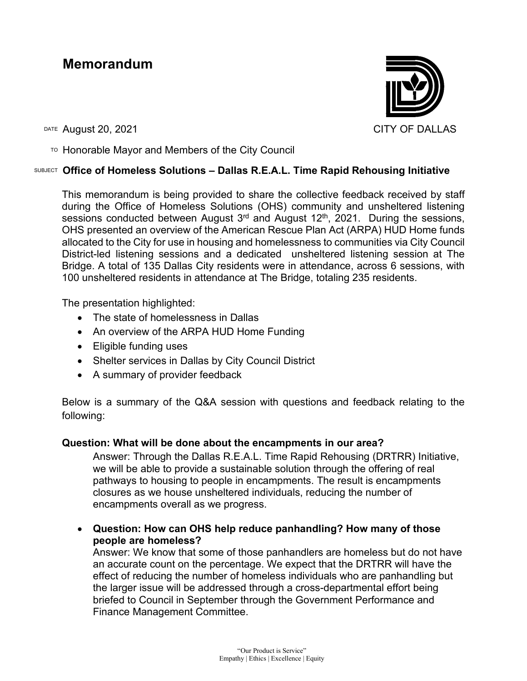# **Memorandum**



DATE August 20, 2021 CITY OF DALLAS

 $T$ <sup>O</sup> Honorable Mayor and Members of the City Council

### SUBJECT **Office of Homeless Solutions – Dallas R.E.A.L. Time Rapid Rehousing Initiative**

This memorandum is being provided to share the collective feedback received by staff during the Office of Homeless Solutions (OHS) community and unsheltered listening sessions conducted between August  $3<sup>rd</sup>$  and August 12<sup>th</sup>, 2021. During the sessions, OHS presented an overview of the American Rescue Plan Act (ARPA) HUD Home funds allocated to the City for use in housing and homelessness to communities via City Council District-led listening sessions and a dedicated unsheltered listening session at The Bridge. A total of 135 Dallas City residents were in attendance, across 6 sessions, with 100 unsheltered residents in attendance at The Bridge, totaling 235 residents.

The presentation highlighted:

- The state of homelessness in Dallas
- An overview of the ARPA HUD Home Funding
- Eligible funding uses
- Shelter services in Dallas by City Council District
- A summary of provider feedback

Below is a summary of the Q&A session with questions and feedback relating to the following:

# **Question: What will be done about the encampments in our area?**

Answer: Through the Dallas R.E.A.L. Time Rapid Rehousing (DRTRR) Initiative, we will be able to provide a sustainable solution through the offering of real pathways to housing to people in encampments. The result is encampments closures as we house unsheltered individuals, reducing the number of encampments overall as we progress.

• **Question: How can OHS help reduce panhandling? How many of those people are homeless?**

Answer: We know that some of those panhandlers are homeless but do not have an accurate count on the percentage. We expect that the DRTRR will have the effect of reducing the number of homeless individuals who are panhandling but the larger issue will be addressed through a cross-departmental effort being briefed to Council in September through the Government Performance and Finance Management Committee.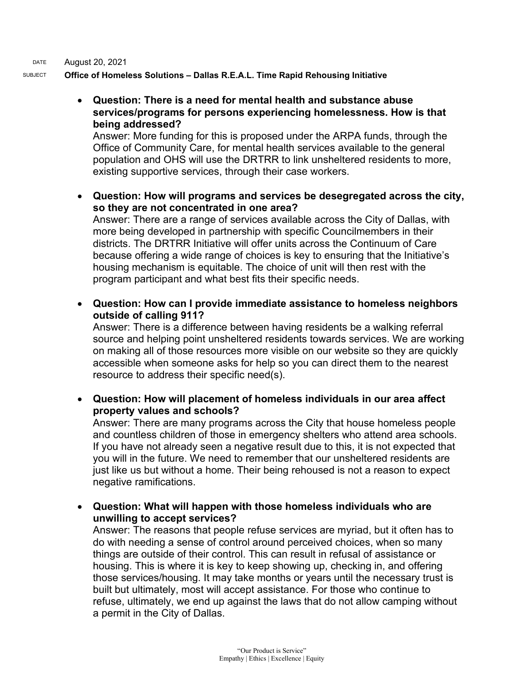DATE August 20, 2021

SUBJECT **Office of Homeless Solutions – Dallas R.E.A.L. Time Rapid Rehousing Initiative**

• **Question: There is a need for mental health and substance abuse services/programs for persons experiencing homelessness. How is that being addressed?**

Answer: More funding for this is proposed under the ARPA funds, through the Office of Community Care, for mental health services available to the general population and OHS will use the DRTRR to link unsheltered residents to more, existing supportive services, through their case workers.

• **Question: How will programs and services be desegregated across the city, so they are not concentrated in one area?**

Answer: There are a range of services available across the City of Dallas, with more being developed in partnership with specific Councilmembers in their districts. The DRTRR Initiative will offer units across the Continuum of Care because offering a wide range of choices is key to ensuring that the Initiative's housing mechanism is equitable. The choice of unit will then rest with the program participant and what best fits their specific needs.

• **Question: How can I provide immediate assistance to homeless neighbors outside of calling 911?**

Answer: There is a difference between having residents be a walking referral source and helping point unsheltered residents towards services. We are working on making all of those resources more visible on our website so they are quickly accessible when someone asks for help so you can direct them to the nearest resource to address their specific need(s).

• **Question: How will placement of homeless individuals in our area affect property values and schools?** 

Answer: There are many programs across the City that house homeless people and countless children of those in emergency shelters who attend area schools. If you have not already seen a negative result due to this, it is not expected that you will in the future. We need to remember that our unsheltered residents are just like us but without a home. Their being rehoused is not a reason to expect negative ramifications.

• **Question: What will happen with those homeless individuals who are unwilling to accept services?**

Answer: The reasons that people refuse services are myriad, but it often has to do with needing a sense of control around perceived choices, when so many things are outside of their control. This can result in refusal of assistance or housing. This is where it is key to keep showing up, checking in, and offering those services/housing. It may take months or years until the necessary trust is built but ultimately, most will accept assistance. For those who continue to refuse, ultimately, we end up against the laws that do not allow camping without a permit in the City of Dallas.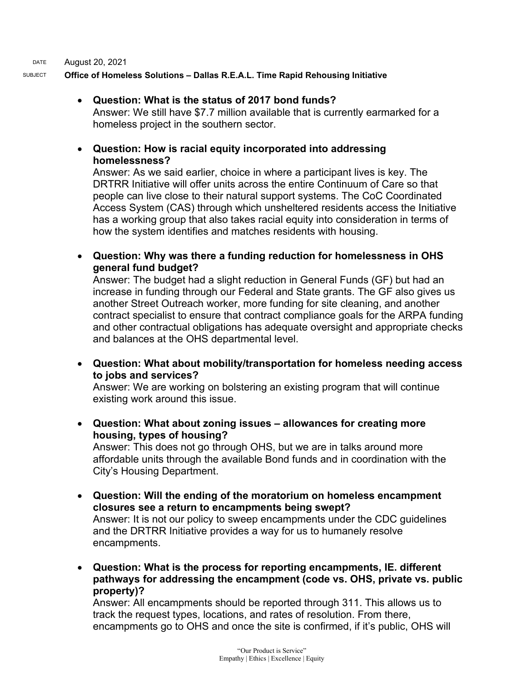DATE August 20, 2021 SUBJECT **Office of Homeless Solutions – Dallas R.E.A.L. Time Rapid Rehousing Initiative**

## • **Question: What is the status of 2017 bond funds?**

Answer: We still have \$7.7 million available that is currently earmarked for a homeless project in the southern sector.

### • **Question: How is racial equity incorporated into addressing homelessness?**

Answer: As we said earlier, choice in where a participant lives is key. The DRTRR Initiative will offer units across the entire Continuum of Care so that people can live close to their natural support systems. The CoC Coordinated Access System (CAS) through which unsheltered residents access the Initiative has a working group that also takes racial equity into consideration in terms of how the system identifies and matches residents with housing.

• **Question: Why was there a funding reduction for homelessness in OHS general fund budget?**

Answer: The budget had a slight reduction in General Funds (GF) but had an increase in funding through our Federal and State grants. The GF also gives us another Street Outreach worker, more funding for site cleaning, and another contract specialist to ensure that contract compliance goals for the ARPA funding and other contractual obligations has adequate oversight and appropriate checks and balances at the OHS departmental level.

• **Question: What about mobility/transportation for homeless needing access to jobs and services?**

Answer: We are working on bolstering an existing program that will continue existing work around this issue.

• **Question: What about zoning issues – allowances for creating more housing, types of housing?**

Answer: This does not go through OHS, but we are in talks around more affordable units through the available Bond funds and in coordination with the City's Housing Department.

- **Question: Will the ending of the moratorium on homeless encampment closures see a return to encampments being swept?** Answer: It is not our policy to sweep encampments under the CDC guidelines and the DRTRR Initiative provides a way for us to humanely resolve encampments.
- **Question: What is the process for reporting encampments, IE. different pathways for addressing the encampment (code vs. OHS, private vs. public property)?**

Answer: All encampments should be reported through 311. This allows us to track the request types, locations, and rates of resolution. From there, encampments go to OHS and once the site is confirmed, if it's public, OHS will